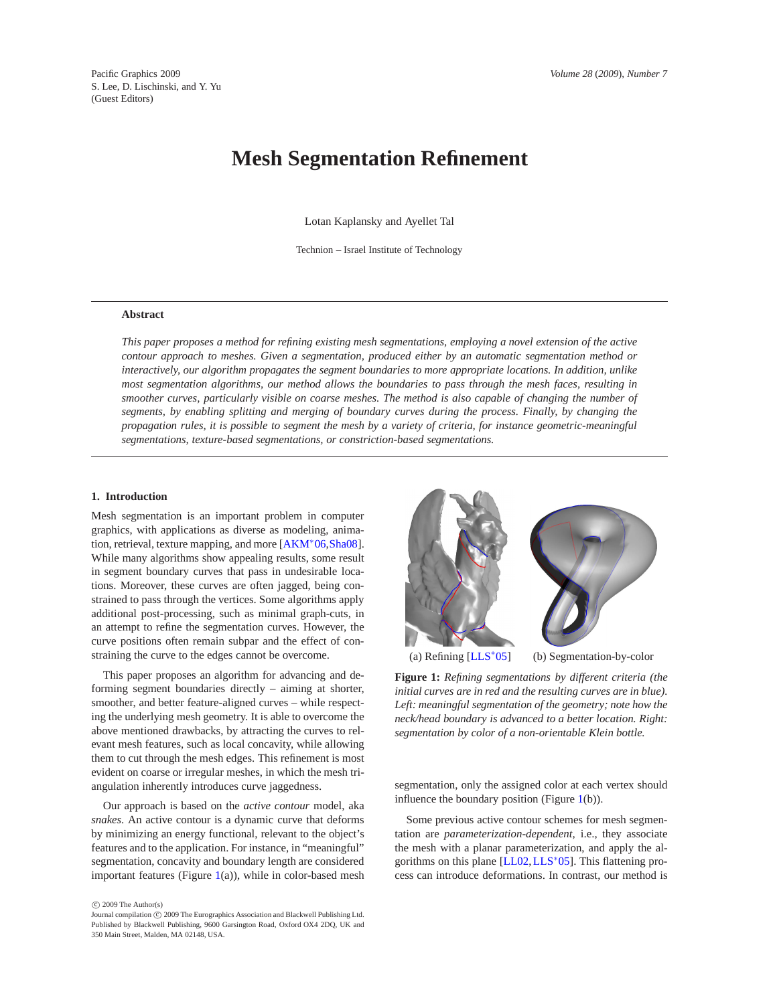# **Mesh Segmentation Refinement**

Lotan Kaplansky and Ayellet Tal

Technion – Israel Institute of Technology

## **Abstract**

*This paper proposes a method for refining existing mesh segmentations, employing a novel extension of the active contour approach to meshes. Given a segmentation, produced either by an automatic segmentation method or interactively, our algorithm propagates the segment boundaries to more appropriate locations. In addition, unlike most segmentation algorithms, our method allows the boundaries to pass through the mesh faces, resulting in smoother curves, particularly visible on coarse meshes. The method is also capable of changing the number of segments, by enabling splitting and merging of boundary curves during the process. Finally, by changing the propagation rules, it is possible to segment the mesh by a variety of criteria, for instance geometric-meaningful segmentations, texture-based segmentations, or constriction-based segmentations.*

### **1. Introduction**

Mesh segmentation is an important problem in computer graphics, with applications as diverse as modeling, animation, retrieval, texture mapping, and more [\[AKM](#page-8-0)∗06[,Sha08\]](#page-8-1). While many algorithms show appealing results, some result in segment boundary curves that pass in undesirable locations. Moreover, these curves are often jagged, being constrained to pass through the vertices. Some algorithms apply additional post-processing, such as minimal graph-cuts, in an attempt to refine the segmentation curves. However, the curve positions often remain subpar and the effect of constraining the curve to the edges cannot be overcome.

This paper proposes an algorithm for advancing and deforming segment boundaries directly – aiming at shorter, smoother, and better feature-aligned curves – while respecting the underlying mesh geometry. It is able to overcome the above mentioned drawbacks, by attracting the curves to relevant mesh features, such as local concavity, while allowing them to cut through the mesh edges. This refinement is most evident on coarse or irregular meshes, in which the mesh triangulation inherently introduces curve jaggedness.

Our approach is based on the *active contour* model, aka *snakes*. An active contour is a dynamic curve that deforms by minimizing an energy functional, relevant to the object's features and to the application. For instance, in "meaningful" segmentation, concavity and boundary length are considered important features (Figure [1\(](#page-0-0)a)), while in color-based mesh

 $\odot$  2009 The Author(s)



(a) Refining [\[LLS](#page-8-2)∗05] (b) Segmentation-by-color

<span id="page-0-0"></span>**Figure 1:** *Refining segmentations by different criteria (the initial curves are in red and the resulting curves are in blue). Left: meaningful segmentation of the geometry; note how the neck/head boundary is advanced to a better location. Right: segmentation by color of a non-orientable Klein bottle.*

segmentation, only the assigned color at each vertex should influence the boundary position (Figure [1\(](#page-0-0)b)).

Some previous active contour schemes for mesh segmentation are *parameterization-dependent*, i.e., they associate the mesh with a planar parameterization, and apply the algorithms on this plane [\[LL02,](#page-8-3)[LLS](#page-8-2)∗05]. This flattening process can introduce deformations. In contrast, our method is

Journal compilation  $\circled{c}$  2009 The Eurographics Association and Blackwell Publishing Ltd. Published by Blackwell Publishing, 9600 Garsington Road, Oxford OX4 2DQ, UK and 350 Main Street, Malden, MA 02148, USA.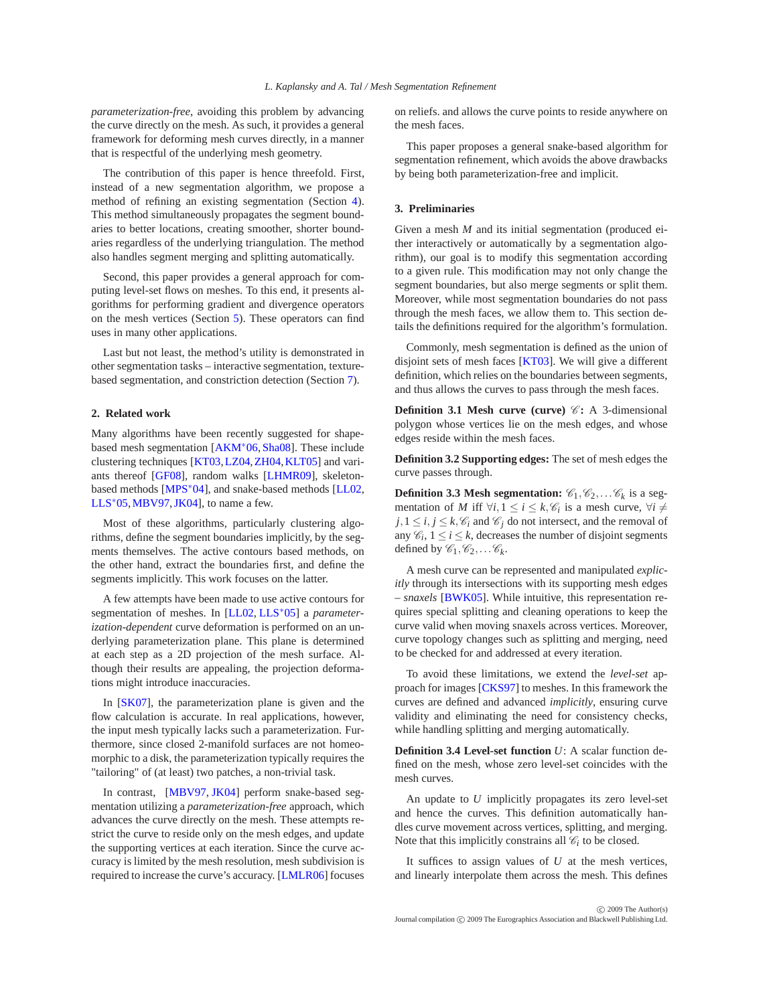*parameterization-free*, avoiding this problem by advancing the curve directly on the mesh. As such, it provides a general framework for deforming mesh curves directly, in a manner that is respectful of the underlying mesh geometry.

The contribution of this paper is hence threefold. First, instead of a new segmentation algorithm, we propose a method of refining an existing segmentation (Section [4\)](#page-2-0). This method simultaneously propagates the segment boundaries to better locations, creating smoother, shorter boundaries regardless of the underlying triangulation. The method also handles segment merging and splitting automatically.

Second, this paper provides a general approach for computing level-set flows on meshes. To this end, it presents algorithms for performing gradient and divergence operators on the mesh vertices (Section [5\)](#page-3-0). These operators can find uses in many other applications.

Last but not least, the method's utility is demonstrated in other segmentation tasks – interactive segmentation, texturebased segmentation, and constriction detection (Section [7\)](#page-6-0).

## **2. Related work**

Many algorithms have been recently suggested for shapebased mesh segmentation [\[AKM](#page-8-0)∗06, [Sha08\]](#page-8-1). These include clustering techniques [\[KT03,](#page-8-4)[LZ04,](#page-8-5)[ZH04,](#page-8-6)[KLT05\]](#page-8-7) and variants thereof [\[GF08\]](#page-8-8), random walks [\[LHMR09\]](#page-8-9), skeletonbased methods [\[MPS](#page-8-10)∗04], and snake-based methods [\[LL02,](#page-8-3)  $LLS*05, MBV97, JK04$  $LLS*05, MBV97, JK04$ ], to name a few.

Most of these algorithms, particularly clustering algorithms, define the segment boundaries implicitly, by the segments themselves. The active contours based methods, on the other hand, extract the boundaries first, and define the segments implicitly. This work focuses on the latter.

A few attempts have been made to use active contours for segmentation of meshes. In [\[LL02,](#page-8-3) [LLS](#page-8-2)∗05] a *parameterization-dependent* curve deformation is performed on an underlying parameterization plane. This plane is determined at each step as a 2D projection of the mesh surface. Although their results are appealing, the projection deformations might introduce inaccuracies.

In  $[SK07]$ , the parameterization plane is given and the flow calculation is accurate. In real applications, however, the input mesh typically lacks such a parameterization. Furthermore, since closed 2-manifold surfaces are not homeomorphic to a disk, the parameterization typically requires the "tailoring" of (at least) two patches, a non-trivial task.

In contrast, [\[MBV97,](#page-8-11) [JK04\]](#page-8-12) perform snake-based segmentation utilizing a *parameterization-free* approach, which advances the curve directly on the mesh. These attempts restrict the curve to reside only on the mesh edges, and update the supporting vertices at each iteration. Since the curve accuracy is limited by the mesh resolution, mesh subdivision is required to increase the curve's accuracy. [\[LMLR06\]](#page-8-14) focuses on reliefs. and allows the curve points to reside anywhere on the mesh faces.

This paper proposes a general snake-based algorithm for segmentation refinement, which avoids the above drawbacks by being both parameterization-free and implicit.

## **3. Preliminaries**

Given a mesh *M* and its initial segmentation (produced either interactively or automatically by a segmentation algorithm), our goal is to modify this segmentation according to a given rule. This modification may not only change the segment boundaries, but also merge segments or split them. Moreover, while most segmentation boundaries do not pass through the mesh faces, we allow them to. This section details the definitions required for the algorithm's formulation.

Commonly, mesh segmentation is defined as the union of disjoint sets of mesh faces [\[KT03\]](#page-8-4). We will give a different definition, which relies on the boundaries between segments, and thus allows the curves to pass through the mesh faces.

**Definition 3.1 Mesh curve (curve)**  $\mathcal{C}$ **: A 3-dimensional** polygon whose vertices lie on the mesh edges, and whose edges reside within the mesh faces.

**Definition 3.2 Supporting edges:** The set of mesh edges the curve passes through.

**Definition 3.3 Mesh segmentation:**  $\mathcal{C}_1, \mathcal{C}_2, \ldots \mathcal{C}_k$  is a segmentation of *M* iff  $\forall i, 1 \le i \le k, \mathcal{C}_i$  is a mesh curve,  $\forall i \ne$  $j, 1 \leq i, j \leq k, \mathcal{C}_i$  and  $\mathcal{C}_j$  do not intersect, and the removal of any  $\mathcal{C}_i$ ,  $1 \le i \le k$ , decreases the number of disjoint segments defined by  $\mathscr{C}_1, \mathscr{C}_2, \ldots \mathscr{C}_k$ .

A mesh curve can be represented and manipulated *explicitly* through its intersections with its supporting mesh edges – *snaxels* [\[BWK05\]](#page-8-15). While intuitive, this representation requires special splitting and cleaning operations to keep the curve valid when moving snaxels across vertices. Moreover, curve topology changes such as splitting and merging, need to be checked for and addressed at every iteration.

To avoid these limitations, we extend the *level-set* approach for images [\[CKS97\]](#page-8-16) to meshes. In this framework the curves are defined and advanced *implicitly*, ensuring curve validity and eliminating the need for consistency checks, while handling splitting and merging automatically.

**Definition 3.4 Level-set function** *U*: A scalar function defined on the mesh, whose zero level-set coincides with the mesh curves.

An update to *U* implicitly propagates its zero level-set and hence the curves. This definition automatically handles curve movement across vertices, splitting, and merging. Note that this implicitly constrains all  $\mathcal{C}_i$  to be closed.

It suffices to assign values of *U* at the mesh vertices, and linearly interpolate them across the mesh. This defines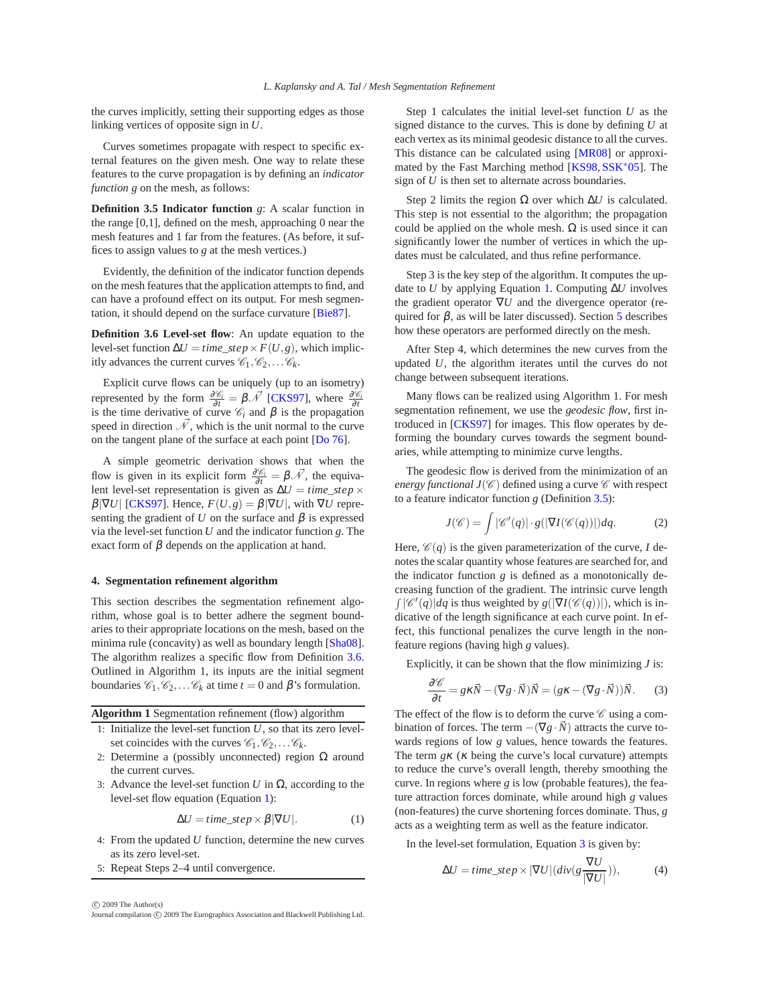the curves implicitly, setting their supporting edges as those linking vertices of opposite sign in *U*.

Curves sometimes propagate with respect to specific external features on the given mesh. One way to relate these features to the curve propagation is by defining an *indicator function g* on the mesh, as follows:

<span id="page-2-3"></span>**Definition 3.5 Indicator function** *g*: A scalar function in the range [0,1], defined on the mesh, approaching 0 near the mesh features and 1 far from the features. (As before, it suffices to assign values to *g* at the mesh vertices.)

Evidently, the definition of the indicator function depends on the mesh features that the application attempts to find, and can have a profound effect on its output. For mesh segmentation, it should depend on the surface curvature [\[Bie87\]](#page-8-17).

<span id="page-2-1"></span>**Definition 3.6 Level-set flow**: An update equation to the level-set function  $\Delta U = time\_step \times F(U, g)$ , which implicitly advances the current curves  $\mathcal{C}_1, \mathcal{C}_2, \ldots \mathcal{C}_k$ .

Explicit curve flows can be uniquely (up to an isometry) represented by the form  $\frac{\partial \mathcal{C}_i}{\partial t} = \beta \vec{N}$  [\[CKS97\]](#page-8-16), where  $\frac{\partial \mathcal{C}_i}{\partial t}$  is the time derivative of curve  $\mathcal{C}_i$  and β is the propagation speed in direction  $\vec{\mathcal{N}}$ , which is the unit normal to the curve on the tangent plane of the surface at each point [\[Do 76\]](#page-8-18).

A simple geometric derivation shows that when the flow is given in its explicit form  $\frac{\partial \mathcal{C}_i}{\partial t} = \beta \mathcal{N}$ , the equivalent level-set representation is given as  $\Delta U = time\_step \times$  $\beta|\nabla U|$  [\[CKS97\]](#page-8-16). Hence,  $F(U,g) = \beta|\nabla U|$ , with  $\nabla U$  representing the gradient of  $U$  on the surface and  $\beta$  is expressed via the level-set function *U* and the indicator function *g*. The exact form of  $\beta$  depends on the application at hand.

#### <span id="page-2-0"></span>**4. Segmentation refinement algorithm**

This section describes the segmentation refinement algorithm, whose goal is to better adhere the segment boundaries to their appropriate locations on the mesh, based on the minima rule (concavity) as well as boundary length [\[Sha08\]](#page-8-1). The algorithm realizes a specific flow from Definition [3.6.](#page-2-1) Outlined in Algorithm 1, its inputs are the initial segment boundaries  $\mathcal{C}_1, \mathcal{C}_2, \ldots \mathcal{C}_k$  at time  $t = 0$  and  $\beta$ 's formulation.

| Algorithm 1 Segmentation refinement (flow) algorithm |  |  |  |  |  |
|------------------------------------------------------|--|--|--|--|--|
|------------------------------------------------------|--|--|--|--|--|

- 1: Initialize the level-set function *U*, so that its zero levelset coincides with the curves  $\mathcal{C}_1, \mathcal{C}_2, \ldots \mathcal{C}_k$ .
- 2: Determine a (possibly unconnected) region  $Ω$  around the current curves.
- 3: Advance the level-set function *U* in  $\Omega$ , according to the level-set flow equation (Equation [1\)](#page-2-2):

<span id="page-2-2"></span>
$$
\Delta U = time\_step \times \beta |\nabla U|.
$$
 (1)

- 4: From the updated *U* function, determine the new curves as its zero level-set.
- 5: Repeat Steps 2–4 until convergence.

 $\odot$  2009 The Author(s)

Journal compilation  $\circled{c}$  2009 The Eurographics Association and Blackwell Publishing Ltd.

Step 1 calculates the initial level-set function *U* as the signed distance to the curves. This is done by defining *U* at each vertex as its minimal geodesic distance to all the curves. This distance can be calculated using [\[MR08\]](#page-8-19) or approximated by the Fast Marching method [\[KS98,](#page-8-20) [SSK](#page-8-21)∗05]. The sign of *U* is then set to alternate across boundaries.

Step 2 limits the region  $\Omega$  over which  $\Delta U$  is calculated. This step is not essential to the algorithm; the propagation could be applied on the whole mesh.  $\Omega$  is used since it can significantly lower the number of vertices in which the updates must be calculated, and thus refine performance.

Step 3 is the key step of the algorithm. It computes the update to *U* by applying Equation [1.](#page-2-2) Computing ∆*U* involves the gradient operator ∇*U* and the divergence operator (required for  $\beta$ , as will be later discussed). Section [5](#page-3-0) describes how these operators are performed directly on the mesh.

After Step 4, which determines the new curves from the updated *U*, the algorithm iterates until the curves do not change between subsequent iterations.

Many flows can be realized using Algorithm 1. For mesh segmentation refinement, we use the *geodesic flow*, first introduced in [\[CKS97\]](#page-8-16) for images. This flow operates by deforming the boundary curves towards the segment boundaries, while attempting to minimize curve lengths.

The geodesic flow is derived from the minimization of an *energy functional*  $J(\mathscr{C})$  defined using a curve  $\mathscr{C}$  with respect to a feature indicator function *g* (Definition [3.5\)](#page-2-3):

$$
J(\mathscr{C}) = \int |\mathscr{C}'(q)| \cdot g(|\nabla I(\mathscr{C}(q))|) dq.
$$
 (2)

Here,  $\mathcal{C}(q)$  is the given parameterization of the curve, *I* denotes the scalar quantity whose features are searched for, and the indicator function  $g$  is defined as a monotonically decreasing function of the gradient. The intrinsic curve length  $\int |\mathscr{C}'(q)| dq$  is thus weighted by  $g(|\nabla I(\mathscr{C}(q))|)$ , which is indicative of the length significance at each curve point. In effect, this functional penalizes the curve length in the nonfeature regions (having high *g* values).

Explicitly, it can be shown that the flow minimizing *J* is:

<span id="page-2-4"></span>
$$
\frac{\partial \mathscr{C}}{\partial t} = g\kappa \vec{N} - (\nabla g \cdot \vec{N})\vec{N} = (g\kappa - (\nabla g \cdot \vec{N}))\vec{N}.
$$
 (3)

The effect of the flow is to deform the curve  $\mathscr C$  using a combination of forces. The term  $-(\nabla g \cdot \vec{N})$  attracts the curve towards regions of low *g* values, hence towards the features. The term  $g\kappa$  ( $\kappa$  being the curve's local curvature) attempts to reduce the curve's overall length, thereby smoothing the curve. In regions where  $g$  is low (probable features), the feature attraction forces dominate, while around high *g* values (non-features) the curve shortening forces dominate. Thus, *g* acts as a weighting term as well as the feature indicator.

In the level-set formulation, Equation [3](#page-2-4) is given by:

<span id="page-2-5"></span>
$$
\Delta U = time\_step \times |\nabla U| (div(g \frac{\nabla U}{|\nabla U|})), \tag{4}
$$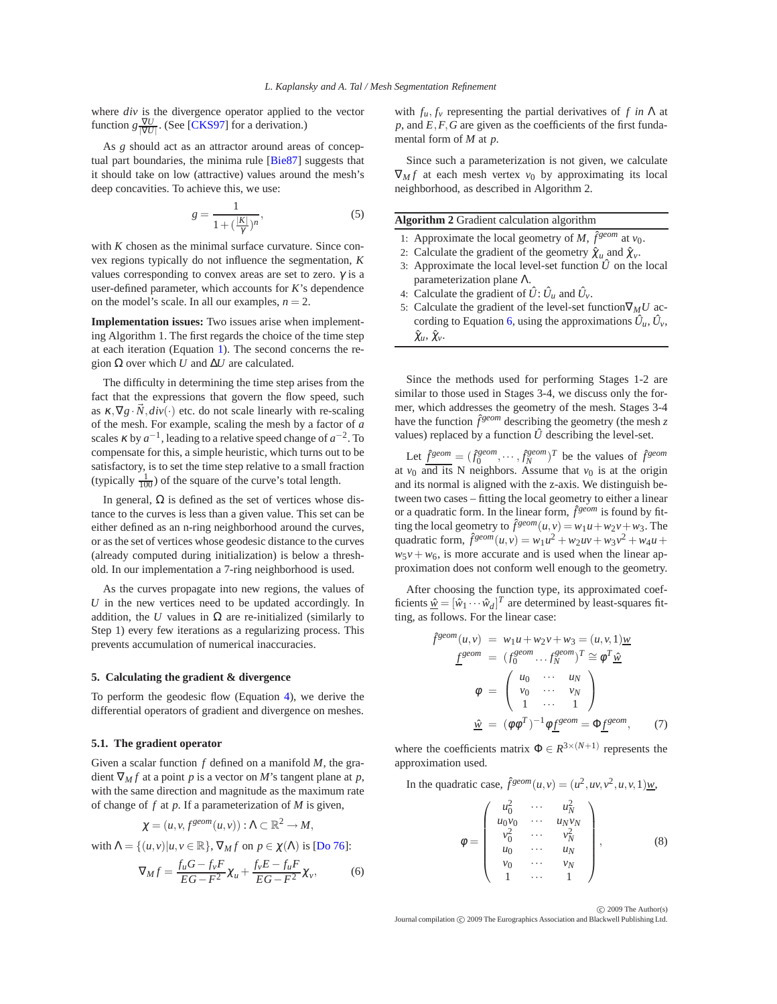where *div* is the divergence operator applied to the vector function  $g \frac{\nabla U}{|\nabla U|}$ . (See [\[CKS97\]](#page-8-16) for a derivation.)

As *g* should act as an attractor around areas of conceptual part boundaries, the minima rule [\[Bie87\]](#page-8-17) suggests that it should take on low (attractive) values around the mesh's deep concavities. To achieve this, we use:

<span id="page-3-5"></span>
$$
g = \frac{1}{1 + \left(\frac{|K|}{\gamma}\right)^n},\tag{5}
$$

with *K* chosen as the minimal surface curvature. Since convex regions typically do not influence the segmentation, *K* values corresponding to convex areas are set to zero.  $\gamma$  is a user-defined parameter, which accounts for *K*'s dependence on the model's scale. In all our examples,  $n = 2$ .

**Implementation issues:** Two issues arise when implementing Algorithm 1. The first regards the choice of the time step at each iteration (Equation [1\)](#page-2-2). The second concerns the region  $\Omega$  over which *U* and  $\Delta U$  are calculated.

The difficulty in determining the time step arises from the fact that the expressions that govern the flow speed, such as  $\kappa$ ,  $\nabla$ *g* ·  $\vec{N}$ ,  $div(·)$  etc. do not scale linearly with re-scaling of the mesh. For example, scaling the mesh by a factor of *a* scales  $\kappa$  by  $a^{-1}$ , leading to a relative speed change of  $a^{-2}$ . To compensate for this, a simple heuristic, which turns out to be satisfactory, is to set the time step relative to a small fraction (typically  $\frac{1}{100}$ ) of the square of the curve's total length.

In general,  $Ω$  is defined as the set of vertices whose distance to the curves is less than a given value. This set can be either defined as an n-ring neighborhood around the curves, or as the set of vertices whose geodesic distance to the curves (already computed during initialization) is below a threshold. In our implementation a 7-ring neighborhood is used.

As the curves propagate into new regions, the values of *U* in the new vertices need to be updated accordingly. In addition, the *U* values in  $\Omega$  are re-initialized (similarly to Step 1) every few iterations as a regularizing process. This prevents accumulation of numerical inaccuracies.

#### <span id="page-3-0"></span>**5. Calculating the gradient & divergence**

To perform the geodesic flow (Equation [4\)](#page-2-5), we derive the differential operators of gradient and divergence on meshes.

#### <span id="page-3-4"></span>**5.1. The gradient operator**

Given a scalar function *f* defined on a manifold *M*, the gradient  $\nabla_M f$  at a point *p* is a vector on *M*'s tangent plane at *p*, with the same direction and magnitude as the maximum rate of change of *f* at *p*. If a parameterization of *M* is given,

<span id="page-3-1"></span>
$$
\chi = (u, v, f^{geom}(u, v)) : \Lambda \subset \mathbb{R}^2 \to M,
$$

with  $\Lambda = \{(u, v) | u, v \in \mathbb{R}\}, \nabla_M f$  on  $p \in \chi(\Lambda)$  is [\[Do 76\]](#page-8-18):

$$
\nabla_M f = \frac{f_u G - f_v F}{EG - F^2} \chi_u + \frac{f_v E - f_u F}{EG - F^2} \chi_v,\tag{6}
$$

with  $f_u, f_v$  representing the partial derivatives of *f in*  $\Lambda$  at *p*, and *E*,*F*,*G* are given as the coefficients of the first fundamental form of *M* at *p*.

Since such a parameterization is not given, we calculate  $\nabla_M f$  at each mesh vertex  $v_0$  by approximating its local neighborhood, as described in Algorithm 2.

| <b>Algorithm 2</b> Gradient calculation algorithm |  |  |  |
|---------------------------------------------------|--|--|--|
|---------------------------------------------------|--|--|--|

- 1: Approximate the local geometry of *M*,  $\hat{f}^{geom}$  at  $v_0$ .
- 2: Calculate the gradient of the geometry  $\hat{\chi}_u$  and  $\hat{\chi}_v$ .
- 3: Approximate the local level-set function  $\hat{U}$  on the local parameterization plane Λ.
- 4: Calculate the gradient of  $\hat{U}$ :  $\hat{U}_u$  and  $\hat{U}_v$ .
- 5: Calculate the gradient of the level-set function  $\nabla_M U$  ac-cording to Equation [6,](#page-3-1) using the approximations  $\hat{U}_u$ ,  $\hat{U}_v$ ,  $\hat{\chi}_u, \hat{\chi}_v$ .

Since the methods used for performing Stages 1-2 are similar to those used in Stages 3-4, we discuss only the former, which addresses the geometry of the mesh. Stages 3-4 have the function  $\hat{f}^{geom}$  describing the geometry (the mesh *z* values) replaced by a function  $\hat{U}$  describing the level-set.

Let  $\hat{f}^{geom} = (\hat{f}^{geom}_0, \dots, \hat{f}^{geom}_N)^T$  be the values of  $\hat{f}^{geom}$ at  $v_0$  and its N neighbors. Assume that  $v_0$  is at the origin and its normal is aligned with the z-axis. We distinguish between two cases – fitting the local geometry to either a linear or a quadratic form. In the linear form,  $\hat{f}^{geom}$  is found by fitting the local geometry to  $\hat{f}^{geom}(u,v) = w_1u + w_2v + w_3$ . The quadratic form,  $\hat{f}^{geom}(u,v) = w_1u^2 + w_2uv + w_3v^2 + w_4u +$  $w_5v + w_6$ , is more accurate and is used when the linear approximation does not conform well enough to the geometry.

<span id="page-3-2"></span>After choosing the function type, its approximated coefficients  $\hat{\mathbf{w}} = [\hat{w}_1 \cdots \hat{w}_d]^T$  are determined by least-squares fitting, as follows. For the linear case:

$$
\hat{f}^{geom}(u, v) = w_1 u + w_2 v + w_3 = (u, v, 1)\underline{w}
$$

$$
\underline{f}^{geom} = (f_0^{geom} \dots f_N^{geom})^T \cong \phi^T \hat{\underline{w}}
$$

$$
\phi = \begin{pmatrix} u_0 & \cdots & u_N \\ v_0 & \cdots & v_N \\ 1 & \cdots & 1 \end{pmatrix}
$$

$$
\hat{\underline{w}} = (\phi \phi^T)^{-1} \phi \underline{f}^{geom} = \Phi \underline{f}^{geom}, \qquad (7)
$$

where the coefficients matrix  $\Phi \in R^{3 \times (N+1)}$  represents the approximation used.

In the quadratic case,  $\hat{f}^{geom}(u, v) = (u^2, uv, v^2, u, v, 1)w$ ,

<span id="page-3-3"></span>
$$
\phi = \begin{pmatrix} u_0^2 & \cdots & u_N^2 \\ u_0 v_0 & \cdots & u_N v_N \\ v_0^2 & \cdots & v_N^2 \\ u_0 & \cdots & u_N \\ v_0 & \cdots & v_N \\ 1 & \cdots & 1 \end{pmatrix}, \quad (8)
$$

 $\circ$  2009 The Author(s)

Journal compilation  $\odot$  2009 The Eurographics Association and Blackwell Publishing Ltd.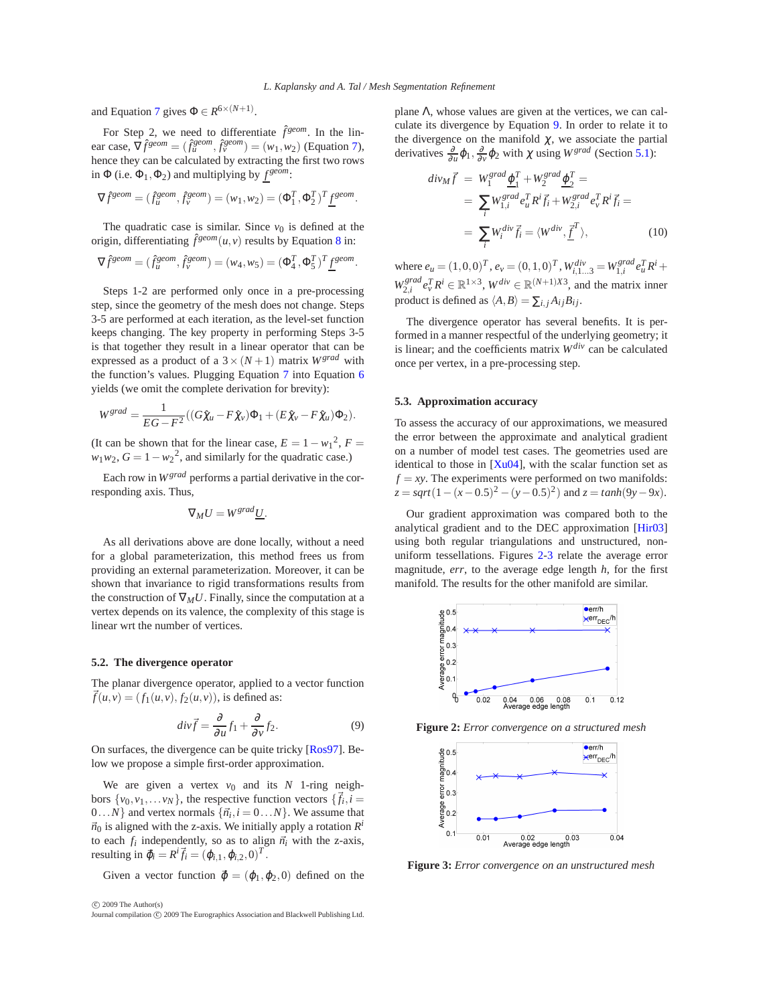and Equation [7](#page-3-2) gives  $\Phi \in R^{6 \times (N+1)}$ .

For Step 2, we need to differentiate  $\hat{f}^{geom}$ . In the linear case,  $\nabla \hat{f}^{geom} = (\hat{f}^{geom}_{u}, \hat{f}^{geom}_{v}) = (w_1, w_2)$  (Equation [7\)](#page-3-2), hence they can be calculated by extracting the first two rows in  $\Phi$  (i.e.  $\Phi_1, \Phi_2$ ) and multiplying by  $f^{geom}$ :

$$
\nabla \hat{f}^{geom} = (\hat{f}^{geom}_{u}, \hat{f}^{geom}_{v}) = (w_1, w_2) = (\Phi_1^T, \Phi_2^T)^T \underline{f}^{geom}.
$$

The quadratic case is similar. Since  $v_0$  is defined at the origin, differentiating  $\hat{f}^{geom}(u,v)$  results by Equation [8](#page-3-3) in:

$$
\nabla \hat{f}^{geom} = (\hat{f}^{geom}_{u}, \hat{f}^{geom}_{v}) = (w_4, w_5) = (\Phi_4^T, \Phi_5^T)^T \underline{f}^{geom}.
$$

Steps 1-2 are performed only once in a pre-processing step, since the geometry of the mesh does not change. Steps 3-5 are performed at each iteration, as the level-set function keeps changing. The key property in performing Steps 3-5 is that together they result in a linear operator that can be expressed as a product of a  $3 \times (N + 1)$  matrix *W*<sup>grad</sup> with the function's values. Plugging Equation [7](#page-3-2) into Equation [6](#page-3-1) yields (we omit the complete derivation for brevity):

$$
W^{grad} = \frac{1}{EG - F^2} \left( (G\hat{\chi}_u - F\hat{\chi}_v)\Phi_1 + (E\hat{\chi}_v - F\hat{\chi}_u)\Phi_2 \right).
$$

(It can be shown that for the linear case,  $E = 1 - w_1^2$ ,  $F =$  $w_1w_2$ ,  $G = 1 - w_2^2$ , and similarly for the quadratic case.)

Each row in *Wgrad* performs a partial derivative in the corresponding axis. Thus,

$$
\nabla_M U = W^{grad} \underline{U}.
$$

As all derivations above are done locally, without a need for a global parameterization, this method frees us from providing an external parameterization. Moreover, it can be shown that invariance to rigid transformations results from the construction of  $\nabla_M U$ . Finally, since the computation at a vertex depends on its valence, the complexity of this stage is linear wrt the number of vertices.

## **5.2. The divergence operator**

The planar divergence operator, applied to a vector function  $\vec{f}(u, v) = (f_1(u, v), f_2(u, v))$ , is defined as:

<span id="page-4-0"></span>
$$
div\vec{f} = \frac{\partial}{\partial u}f_1 + \frac{\partial}{\partial v}f_2.
$$
 (9)

On surfaces, the divergence can be quite tricky [\[Ros97\]](#page-8-22). Below we propose a simple first-order approximation.

We are given a vertex  $v_0$  and its  $N$  1-ring neighbors  $\{v_0, v_1, \ldots, v_N\}$ , the respective function vectors  $\{\vec{f}_i, i =$  $0...N$ } and vertex normals  $\{\vec{n}_i, i = 0...N\}$ . We assume that  $\vec{n}_0$  is aligned with the z-axis. We initially apply a rotation  $R^i$ to each  $f_i$  independently, so as to align  $\vec{n_i}$  with the z-axis, resulting in  $\vec{\varphi}_i = R^i \vec{f}_i = (\varphi_{i,1}, \varphi_{i,2}, 0)^T$ .

Given a vector function  $\vec{\varphi} = (\varphi_1, \varphi_2, 0)$  defined on the

 $\odot$  2009 The Author(s)

plane Λ, whose values are given at the vertices, we can calculate its divergence by Equation [9.](#page-4-0) In order to relate it to the divergence on the manifold  $\chi$ , we associate the partial derivatives  $\frac{\partial}{\partial u}\varphi_1$ ,  $\frac{\partial}{\partial v}\varphi_2$  with  $\chi$  using *W*<sup>*grad*</sup> (Section [5.1\)](#page-3-4):

$$
div_M \vec{f} = W_1^{grad} \underline{\varphi}_1^T + W_2^{grad} \underline{\varphi}_2^T =
$$
  
\n
$$
= \sum_i W_{1,i}^{grad} e_u^T R^i \vec{f}_i + W_{2,i}^{grad} e_v^T R^i \vec{f}_i =
$$
  
\n
$$
= \sum_i W_i^{div} \vec{f}_i = \langle W^{div}, \underline{\vec{f}}^T \rangle,
$$
 (10)

where  $e_u = (1,0,0)^T$ ,  $e_v = (0,1,0)^T$ ,  $W_{i,1...3}^{div} = W_{1,i}^{grad} e_u^T R^i +$  $W_{2,i}^{grad} e_v^T R^i \in \mathbb{R}^{1 \times 3}$ ,  $W^{div} \in \mathbb{R}^{(N+1)X3}$ , and the matrix inner product is defined as  $\langle A, B \rangle = \sum_{i,j} A_{ij} B_{ij}$ .

The divergence operator has several benefits. It is performed in a manner respectful of the underlying geometry; it is linear; and the coefficients matrix *Wdiv* can be calculated once per vertex, in a pre-processing step.

#### **5.3. Approximation accuracy**

To assess the accuracy of our approximations, we measured the error between the approximate and analytical gradient on a number of model test cases. The geometries used are identical to those in  $[Xu04]$ , with the scalar function set as  $f = xy$ . The experiments were performed on two manifolds:  $z = sqrt(1 - (x - 0.5)^2 - (y - 0.5)^2)$  and  $z = tanh(9y - 9x)$ .

Our gradient approximation was compared both to the analytical gradient and to the DEC approximation [\[Hir03\]](#page-8-24) using both regular triangulations and unstructured, nonuniform tessellations. Figures [2](#page-4-1)[-3](#page-4-2) relate the average error magnitude, *err*, to the average edge length *h*, for the first manifold. The results for the other manifold are similar.



<span id="page-4-1"></span>**Figure 2:** *Error convergence on a structured mesh*



<span id="page-4-2"></span>**Figure 3:** *Error convergence on an unstructured mesh*

Journal compilation  $\circled{c}$  2009 The Eurographics Association and Blackwell Publishing Ltd.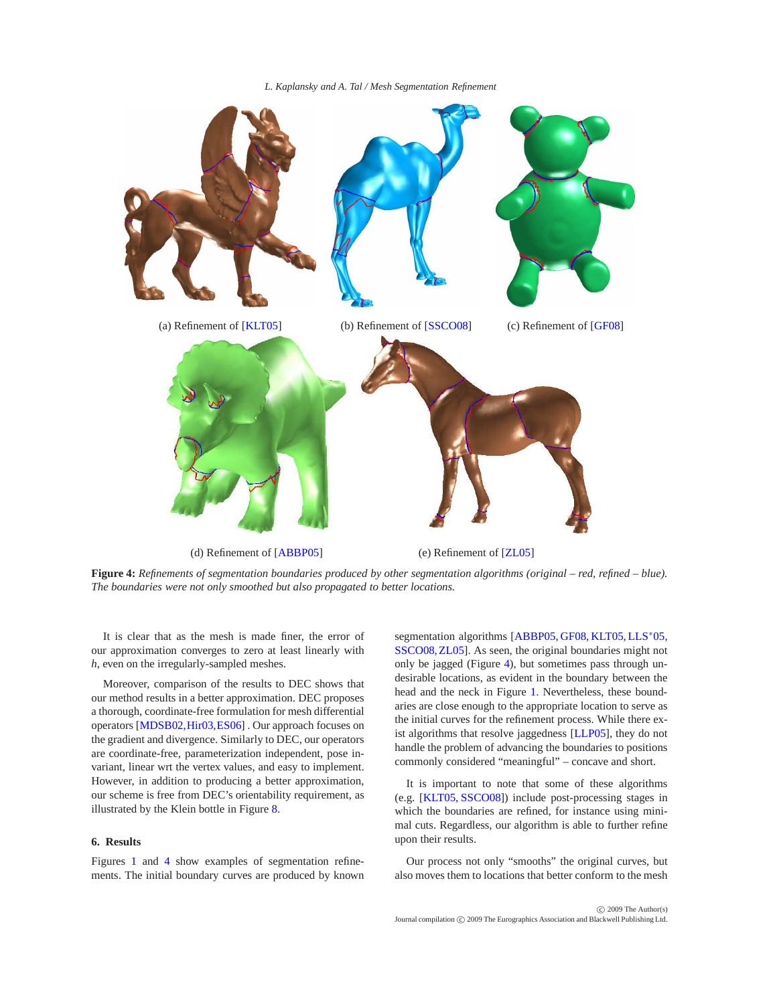*L. Kaplansky and A. Tal / Mesh Segmentation Refinement*



<span id="page-5-0"></span>**Figure 4:** *Refinements of segmentation boundaries produced by other segmentation algorithms (original – red, refined – blue). The boundaries were not only smoothed but also propagated to better locations.*

It is clear that as the mesh is made finer, the error of our approximation converges to zero at least linearly with *h*, even on the irregularly-sampled meshes.

Moreover, comparison of the results to DEC shows that our method results in a better approximation. DEC proposes a thorough, coordinate-free formulation for mesh differential operators [\[MDSB02](#page-8-28)[,Hir03,](#page-8-24)[ES06\]](#page-8-29) . Our approach focuses on the gradient and divergence. Similarly to DEC, our operators are coordinate-free, parameterization independent, pose invariant, linear wrt the vertex values, and easy to implement. However, in addition to producing a better approximation, our scheme is free from DEC's orientability requirement, as illustrated by the Klein bottle in Figure [8.](#page-7-0)

### **6. Results**

Figures [1](#page-0-0) and [4](#page-5-0) show examples of segmentation refinements. The initial boundary curves are produced by known

segmentation algorithms [\[ABBP05,](#page-8-26) [GF08,](#page-8-8) [KLT05,](#page-8-7) [LLS](#page-8-2)<sup>\*05</sup>, [SSCO08,](#page-8-25)[ZL05\]](#page-8-27). As seen, the original boundaries might not only be jagged (Figure [4\)](#page-5-0), but sometimes pass through undesirable locations, as evident in the boundary between the head and the neck in Figure [1.](#page-0-0) Nevertheless, these boundaries are close enough to the appropriate location to serve as the initial curves for the refinement process. While there exist algorithms that resolve jaggedness [\[LLP05\]](#page-8-30), they do not handle the problem of advancing the boundaries to positions commonly considered "meaningful" – concave and short.

It is important to note that some of these algorithms (e.g. [\[KLT05,](#page-8-7) [SSCO08\]](#page-8-25)) include post-processing stages in which the boundaries are refined, for instance using minimal cuts. Regardless, our algorithm is able to further refine upon their results.

Our process not only "smooths" the original curves, but also moves them to locations that better conform to the mesh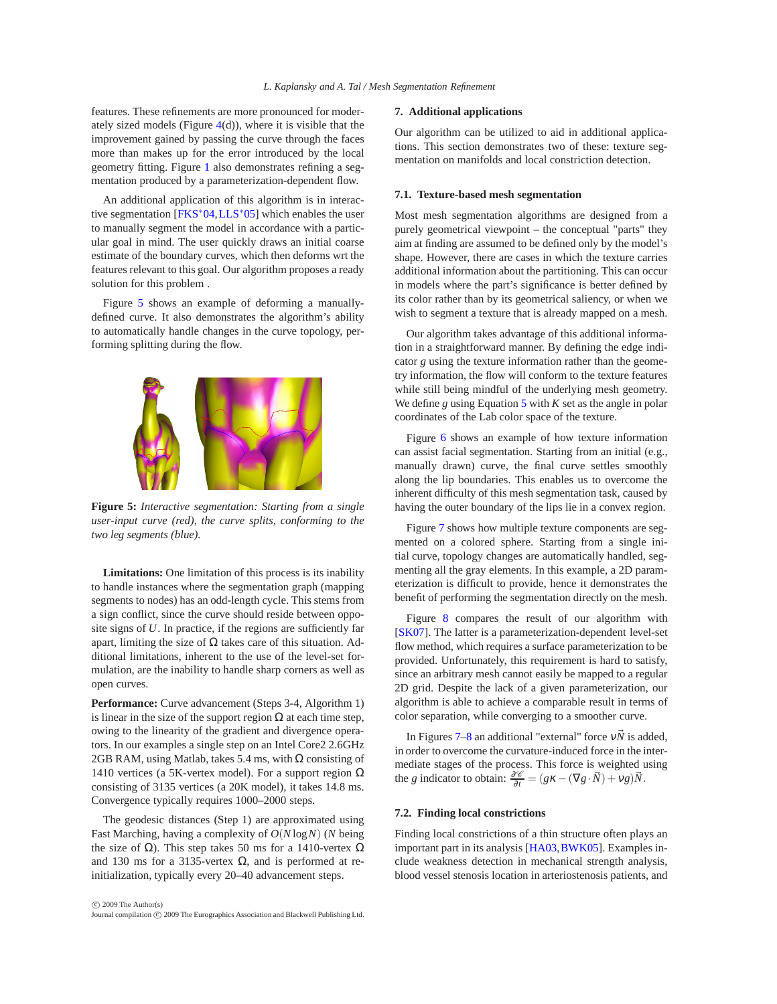features. These refinements are more pronounced for moderately sized models (Figure  $4(d)$  $4(d)$ ), where it is visible that the improvement gained by passing the curve through the faces more than makes up for the error introduced by the local geometry fitting. Figure [1](#page-0-0) also demonstrates refining a segmentation produced by a parameterization-dependent flow.

An additional application of this algorithm is in interactive segmentation [\[FKS](#page-8-31)∗04[,LLS](#page-8-2)∗05] which enables the user to manually segment the model in accordance with a particular goal in mind. The user quickly draws an initial coarse estimate of the boundary curves, which then deforms wrt the features relevant to this goal. Our algorithm proposes a ready solution for this problem .

Figure [5](#page-6-1) shows an example of deforming a manuallydefined curve. It also demonstrates the algorithm's ability to automatically handle changes in the curve topology, performing splitting during the flow.



**Figure 5:** *Interactive segmentation: Starting from a single user-input curve (red), the curve splits, conforming to the two leg segments (blue).*

<span id="page-6-1"></span>**Limitations:** One limitation of this process is its inability to handle instances where the segmentation graph (mapping segments to nodes) has an odd-length cycle. This stems from a sign conflict, since the curve should reside between opposite signs of *U*. In practice, if the regions are sufficiently far apart, limiting the size of  $Ω$  takes care of this situation. Additional limitations, inherent to the use of the level-set formulation, are the inability to handle sharp corners as well as open curves.

**Performance:** Curve advancement (Steps 3-4, Algorithm 1) is linear in the size of the support region  $\Omega$  at each time step, owing to the linearity of the gradient and divergence operators. In our examples a single step on an Intel Core2 2.6GHz 2GB RAM, using Matlab, takes 5.4 ms, with  $\Omega$  consisting of 1410 vertices (a 5K-vertex model). For a support region  $\Omega$ consisting of 3135 vertices (a 20K model), it takes 14.8 ms. Convergence typically requires 1000–2000 steps.

The geodesic distances (Step 1) are approximated using Fast Marching, having a complexity of *O*(*N*log*N*) (*N* being the size of  $Ω$ ). This step takes 50 ms for a 1410-vertex  $Ω$ and 130 ms for a 3135-vertex  $Ω$ , and is performed at reinitialization, typically every 20–40 advancement steps.

 $\odot$  2009 The Author(s) Journal compilation  $\circled{c}$  2009 The Eurographics Association and Blackwell Publishing Ltd.

#### <span id="page-6-0"></span>**7. Additional applications**

Our algorithm can be utilized to aid in additional applications. This section demonstrates two of these: texture segmentation on manifolds and local constriction detection.

# **7.1. Texture-based mesh segmentation**

Most mesh segmentation algorithms are designed from a purely geometrical viewpoint – the conceptual "parts" they aim at finding are assumed to be defined only by the model's shape. However, there are cases in which the texture carries additional information about the partitioning. This can occur in models where the part's significance is better defined by its color rather than by its geometrical saliency, or when we wish to segment a texture that is already mapped on a mesh.

Our algorithm takes advantage of this additional information in a straightforward manner. By defining the edge indicator *g* using the texture information rather than the geometry information, the flow will conform to the texture features while still being mindful of the underlying mesh geometry. We define *g* using Equation [5](#page-3-5) with *K* set as the angle in polar coordinates of the Lab color space of the texture.

Figure [6](#page-7-1) shows an example of how texture information can assist facial segmentation. Starting from an initial (e.g., manually drawn) curve, the final curve settles smoothly along the lip boundaries. This enables us to overcome the inherent difficulty of this mesh segmentation task, caused by having the outer boundary of the lips lie in a convex region.

Figure [7](#page-7-2) shows how multiple texture components are segmented on a colored sphere. Starting from a single initial curve, topology changes are automatically handled, segmenting all the gray elements. In this example, a 2D parameterization is difficult to provide, hence it demonstrates the benefit of performing the segmentation directly on the mesh.

Figure [8](#page-7-0) compares the result of our algorithm with [\[SK07\]](#page-8-13). The latter is a parameterization-dependent level-set flow method, which requires a surface parameterization to be provided. Unfortunately, this requirement is hard to satisfy, since an arbitrary mesh cannot easily be mapped to a regular 2D grid. Despite the lack of a given parameterization, our algorithm is able to achieve a comparable result in terms of color separation, while converging to a smoother curve.

In Figures [7–](#page-7-2)[8](#page-7-0) an additional "external" force  $v\vec{N}$  is added, in order to overcome the curvature-induced force in the intermediate stages of the process. This force is weighted using the *g* indicator to obtain:  $\frac{\partial \mathscr{C}}{\partial t} = (g\kappa - (\nabla g \cdot \vec{N}) + \nu g)\vec{N}$ .

#### **7.2. Finding local constrictions**

Finding local constrictions of a thin structure often plays an important part in its analysis [\[HA03,](#page-8-32)[BWK05\]](#page-8-15). Examples include weakness detection in mechanical strength analysis, blood vessel stenosis location in arteriostenosis patients, and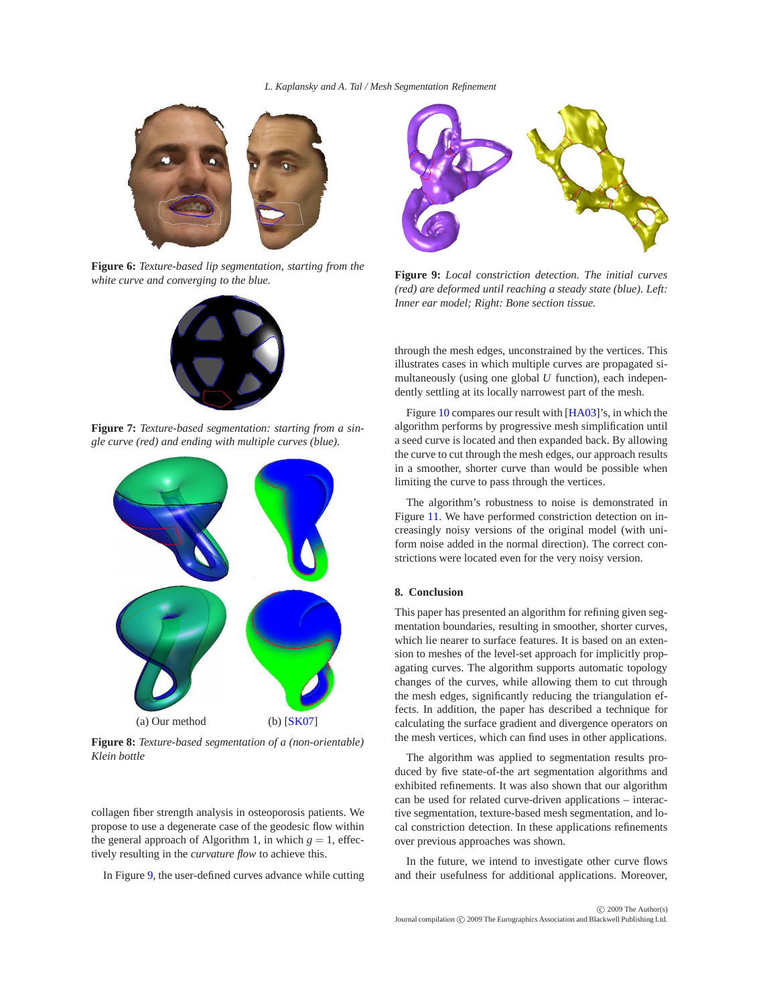

**Figure 6:** *Texture-based lip segmentation, starting from the white curve and converging to the blue.*

<span id="page-7-1"></span>

<span id="page-7-2"></span>**Figure 7:** *Texture-based segmentation: starting from a single curve (red) and ending with multiple curves (blue).*



<span id="page-7-0"></span>**Figure 8:** *Texture-based segmentation of a (non-orientable) Klein bottle*

collagen fiber strength analysis in osteoporosis patients. We propose to use a degenerate case of the geodesic flow within the general approach of Algorithm 1, in which  $g = 1$ , effectively resulting in the *curvature flow* to achieve this.

In Figure [9,](#page-7-3) the user-defined curves advance while cutting



**Figure 9:** *Local constriction detection. The initial curves (red) are deformed until reaching a steady state (blue). Left: Inner ear model; Right: Bone section tissue.*

<span id="page-7-3"></span>through the mesh edges, unconstrained by the vertices. This illustrates cases in which multiple curves are propagated simultaneously (using one global *U* function), each independently settling at its locally narrowest part of the mesh.

Figure [10](#page-8-33) compares our result with [\[HA03\]](#page-8-32)'s, in which the algorithm performs by progressive mesh simplification until a seed curve is located and then expanded back. By allowing the curve to cut through the mesh edges, our approach results in a smoother, shorter curve than would be possible when limiting the curve to pass through the vertices.

The algorithm's robustness to noise is demonstrated in Figure [11.](#page-8-34) We have performed constriction detection on increasingly noisy versions of the original model (with uniform noise added in the normal direction). The correct constrictions were located even for the very noisy version.

### **8. Conclusion**

This paper has presented an algorithm for refining given segmentation boundaries, resulting in smoother, shorter curves, which lie nearer to surface features. It is based on an extension to meshes of the level-set approach for implicitly propagating curves. The algorithm supports automatic topology changes of the curves, while allowing them to cut through the mesh edges, significantly reducing the triangulation effects. In addition, the paper has described a technique for calculating the surface gradient and divergence operators on the mesh vertices, which can find uses in other applications.

The algorithm was applied to segmentation results produced by five state-of-the art segmentation algorithms and exhibited refinements. It was also shown that our algorithm can be used for related curve-driven applications – interactive segmentation, texture-based mesh segmentation, and local constriction detection. In these applications refinements over previous approaches was shown.

In the future, we intend to investigate other curve flows and their usefulness for additional applications. Moreover,